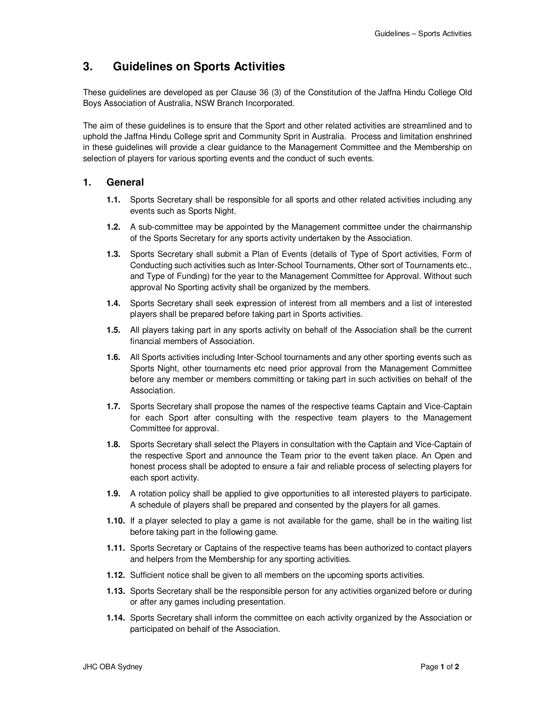## **3. Guidelines on Sports Activities**

These guidelines are developed as per Clause 36 (3) of the Constitution of the Jaffna Hindu College Old Boys Association of Australia, NSW Branch Incorporated.

The aim of these guidelines is to ensure that the Sport and other related activities are streamlined and to uphold the Jaffna Hindu College sprit and Community Sprit in Australia. Process and limitation enshrined in these guidelines will provide a clear guidance to the Management Committee and the Membership on selection of players for various sporting events and the conduct of such events.

## **1. General**

- **1.1.** Sports Secretary shall be responsible for all sports and other related activities including any events such as Sports Night.
- **1.2.** A sub-committee may be appointed by the Management committee under the chairmanship of the Sports Secretary for any sports activity undertaken by the Association.
- **1.3.** Sports Secretary shall submit a Plan of Events (details of Type of Sport activities, Form of Conducting such activities such as Inter-School Tournaments, Other sort of Tournaments etc., and Type of Funding) for the year to the Management Committee for Approval. Without such approval No Sporting activity shall be organized by the members.
- **1.4.** Sports Secretary shall seek expression of interest from all members and a list of interested players shall be prepared before taking part in Sports activities.
- **1.5.** All players taking part in any sports activity on behalf of the Association shall be the current financial members of Association.
- **1.6.** All Sports activities including Inter-School tournaments and any other sporting events such as Sports Night, other tournaments etc need prior approval from the Management Committee before any member or members committing or taking part in such activities on behalf of the Association.
- **1.7.** Sports Secretary shall propose the names of the respective teams Captain and Vice-Captain for each Sport after consulting with the respective team players to the Management Committee for approval.
- **1.8.** Sports Secretary shall select the Players in consultation with the Captain and Vice-Captain of the respective Sport and announce the Team prior to the event taken place. An Open and honest process shall be adopted to ensure a fair and reliable process of selecting players for each sport activity.
- **1.9.** A rotation policy shall be applied to give opportunities to all interested players to participate. A schedule of players shall be prepared and consented by the players for all games.
- **1.10.** If a player selected to play a game is not available for the game, shall be in the waiting list before taking part in the following game.
- **1.11.** Sports Secretary or Captains of the respective teams has been authorized to contact players and helpers from the Membership for any sporting activities.
- **1.12.** Sufficient notice shall be given to all members on the upcoming sports activities.
- **1.13.** Sports Secretary shall be the responsible person for any activities organized before or during or after any games including presentation.
- **1.14.** Sports Secretary shall inform the committee on each activity organized by the Association or participated on behalf of the Association.